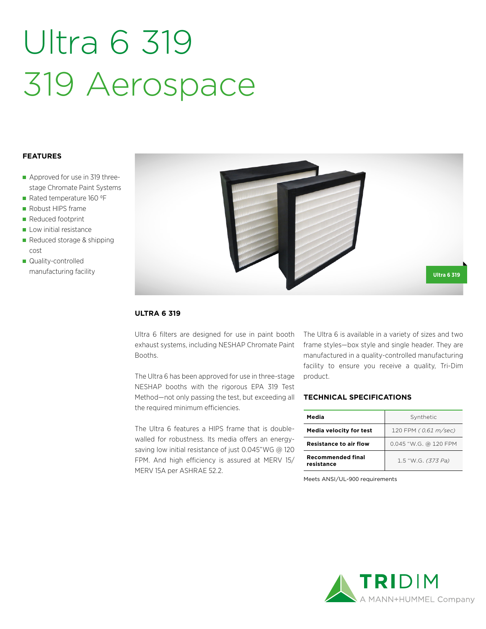# Ultra 6 319 319 Aerospace

## **FEATURES**

- Approved for use in 319 threestage Chromate Paint Systems
- Rated temperature 160 °F
- Robust HIPS frame
- Reduced footprint
- Low initial resistance
- Reduced storage & shipping cost
- **Quality-controlled** manufacturing facility



## **ULTRA 6 319**

Ultra 6 filters are designed for use in paint booth exhaust systems, including NESHAP Chromate Paint Booths.

The Ultra 6 has been approved for use in three-stage NESHAP booths with the rigorous EPA 319 Test Method—not only passing the test, but exceeding all the required minimum efficiencies.

The Ultra 6 features a HIPS frame that is doublewalled for robustness. Its media offers an energysaving low initial resistance of just 0.045"WG @ 120 FPM. And high efficiency is assured at MERV 15/ MERV 15A per ASHRAE 52.2.

The Ultra 6 is available in a variety of sizes and two frame styles—box style and single header. They are manufactured in a quality-controlled manufacturing facility to ensure you receive a quality, Tri-Dim product.

## **TECHNICAL SPECIFICATIONS**

| Media                                  | Synthetic             |  |  |
|----------------------------------------|-----------------------|--|--|
| Media velocity for test                | 120 FPM (0.61 m/sec)  |  |  |
| <b>Resistance to air flow</b>          | 0.045 "W.G. @ 120 FPM |  |  |
| <b>Recommended final</b><br>resistance | 1.5 "W.G. (373 Pa)    |  |  |

Meets ANSI/UL-900 requirements